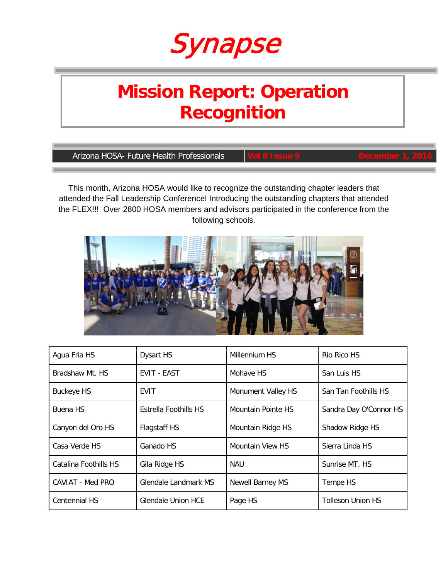

# **Mission Report: Operation Recognition**

**Arizona HOSA- Future Health Professionals** 

This month, Arizona HOSA would like to recognize the outstanding chapter leaders that attended the Fall Leadership Conference! Introducing the outstanding chapters that attended the FLEX!!! Over 2800 HOSA members and advisors participated in the conference from the following schools.



| Agua Fria HS          | <b>Dysart HS</b>      | Millennium HS      | Rio Rico HS              |
|-----------------------|-----------------------|--------------------|--------------------------|
| Bradshaw Mt. HS       | <b>EVIT - EAST</b>    | Mohave HS          | San Luis HS              |
| <b>Buckeye HS</b>     | EVIT                  | Monument Valley HS | San Tan Foothills HS     |
| Buena HS              | Estrella Foothills HS | Mountain Pointe HS | Sandra Day O'Connor HS   |
| Canyon del Oro HS     | Flagstaff HS          | Mountain Ridge HS  | Shadow Ridge HS          |
| Casa Verde HS         | Ganado HS             | Mountain View HS   | Sierra Linda HS          |
| Catalina Foothills HS | Gila Ridge HS         | NAU                | Sunrise MT. HS           |
| CAVIAT - Med PRO      | Glendale Landmark MS  | Newell Barney MS   | Tempe HS                 |
| <b>Centennial HS</b>  | Glendale Union HCE    | Page HS            | <b>Tolleson Union HS</b> |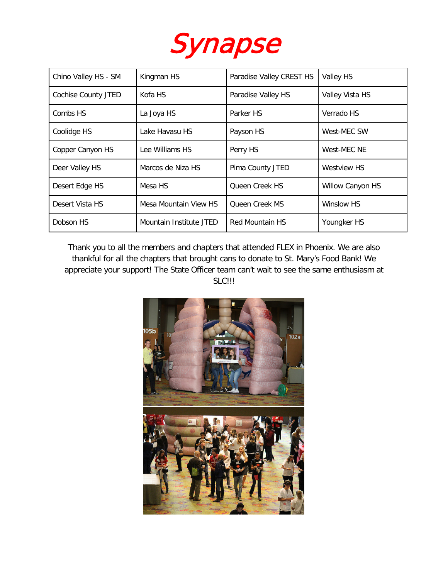

| Chino Valley HS - SM | Kingman HS              | Paradise Valley CREST HS | Valley HS               |
|----------------------|-------------------------|--------------------------|-------------------------|
| Cochise County JTED  | Kofa HS                 | Paradise Valley HS       | Valley Vista HS         |
| Combs HS             | La Joya HS              | Parker HS                | Verrado HS              |
| Coolidge HS          | Lake Havasu HS          | Payson HS                | West-MEC SW             |
| Copper Canyon HS     | Lee Williams HS         | Perry HS                 | West-MEC NE             |
| Deer Valley HS       | Marcos de Niza HS       | Pima County JTED         | Westview HS             |
| Desert Edge HS       | Mesa HS                 | Queen Creek HS           | <b>Willow Canyon HS</b> |
| Desert Vista HS      | Mesa Mountain View HS   | <b>Oueen Creek MS</b>    | Winslow HS              |
| Dobson HS            | Mountain Institute JTED | <b>Red Mountain HS</b>   | Youngker HS             |

Thank you to all the members and chapters that attended FLEX in Phoenix. We are also thankful for all the chapters that brought cans to donate to St. Mary's Food Bank! We appreciate your support! The State Officer team can't wait to see the same enthusiasm at SLC!!!

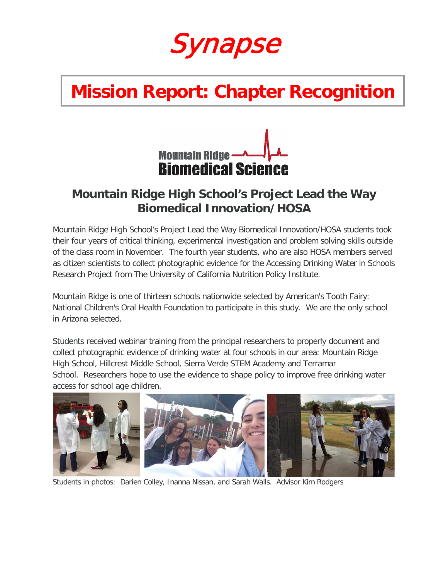

# **Mission Report: Chapter Recognition**



### **Mountain Ridge High School's Project Lead the Way Biomedical Innovation/HOSA**

Mountain Ridge High School's Project Lead the Way Biomedical Innovation/HOSA students took their four years of critical thinking, experimental investigation and problem solving skills outside of the class room in November. The fourth year students, who are also HOSA members served as citizen scientists to collect photographic evidence for the Accessing Drinking Water in Schools Research Project from The University of California Nutrition Policy Institute.

Mountain Ridge is one of thirteen schools nationwide selected by American's Tooth Fairy: National Children's Oral Health Foundation to participate in this study. We are the only school in Arizona selected.

Students received webinar training from the principal researchers to properly document and collect photographic evidence of drinking water at four schools in our area: Mountain Ridge High School, Hillcrest Middle School, Sierra Verde STEM Academy and Terramar School. Researchers hope to use the evidence to shape policy to improve free drinking water access for school age children.



Students in photos: Darien Colley, Inanna Nissan, and Sarah Walls. Advisor Kim Rodgers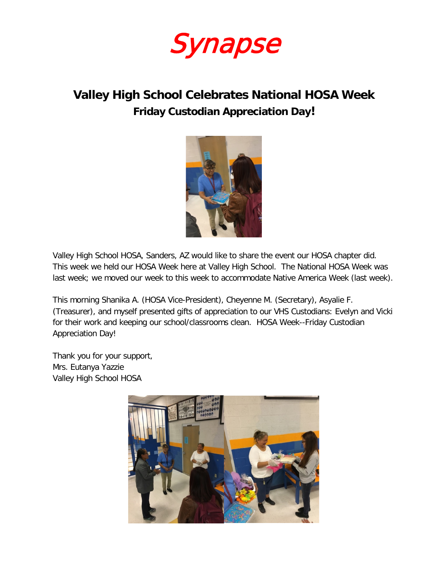

### **Valley High School Celebrates National HOSA Week Friday Custodian Appreciation Day!**



Valley High School HOSA, Sanders, AZ would like to share the event our HOSA chapter did. This week we held our HOSA Week here at Valley High School. The National HOSA Week was last week; we moved our week to this week to accommodate Native America Week (last week).

This morning Shanika A. (HOSA Vice-President), Cheyenne M. (Secretary), Asyalie F. (Treasurer), and myself presented gifts of appreciation to our VHS Custodians: Evelyn and Vicki for their work and keeping our school/classrooms clean. HOSA Week--Friday Custodian Appreciation Day!

Thank you for your support, Mrs. Eutanya Yazzie Valley High School HOSA

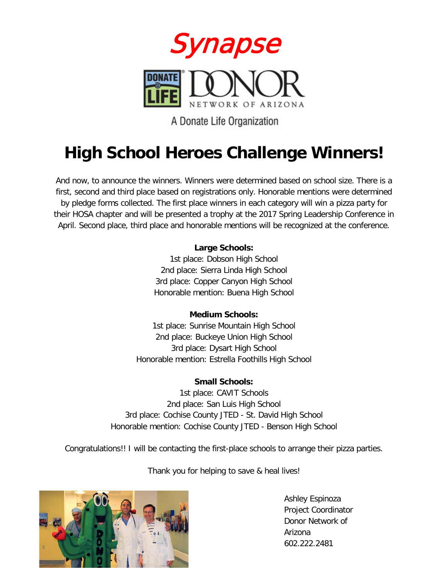

A Donate Life Organization

## **High School Heroes Challenge Winners!**

And now, to announce the winners. Winners were determined based on school size. There is a first, second and third place based on registrations only. Honorable mentions were determined by pledge forms collected. The first place winners in each category will win a pizza party for their HOSA chapter and will be presented a trophy at the 2017 Spring Leadership Conference in April. Second place, third place and honorable mentions will be recognized at the conference.

#### **Large Schools:**

1st place: Dobson High School 2nd place: Sierra Linda High School 3rd place: Copper Canyon High School Honorable mention: Buena High School

#### **Medium Schools:**

1st place: Sunrise Mountain High School 2nd place: Buckeye Union High School 3rd place: Dysart High School Honorable mention: Estrella Foothills High School

### **Small Schools:**

1st place: CAVIT Schools 2nd place: San Luis High School 3rd place: Cochise County JTED - St. David High School Honorable mention: Cochise County JTED - Benson High School

Congratulations!! I will be contacting the first-place schools to arrange their pizza parties.

Thank you for helping to save & heal lives!



Ashley Espinoza Project Coordinator Donor Network of Arizona 602.222.2481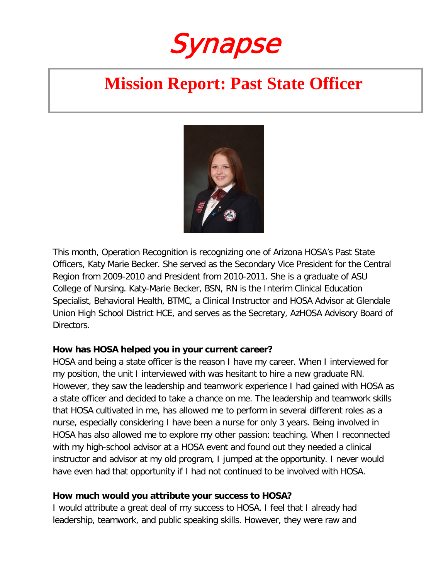Synapse

## **Mission Report: Past State Officer**



This month, Operation Recognition is recognizing one of Arizona HOSA's Past State Officers, Katy Marie Becker. She served as the Secondary Vice President for the Central Region from 2009-2010 and President from 2010-2011. She is a graduate of ASU College of Nursing. Katy-Marie Becker, BSN, RN is the Interim Clinical Education Specialist, Behavioral Health, BTMC, a Clinical Instructor and HOSA Advisor at Glendale Union High School District HCE, and serves as the Secretary, AzHOSA Advisory Board of Directors.

#### **How has HOSA helped you in your current career?**

HOSA and being a state officer is the reason I have my career. When I interviewed for my position, the unit I interviewed with was hesitant to hire a new graduate RN. However, they saw the leadership and teamwork experience I had gained with HOSA as a state officer and decided to take a chance on me. The leadership and teamwork skills that HOSA cultivated in me, has allowed me to perform in several different roles as a nurse, especially considering I have been a nurse for only 3 years. Being involved in HOSA has also allowed me to explore my other passion: teaching. When I reconnected with my high-school advisor at a HOSA event and found out they needed a clinical instructor and advisor at my old program, I jumped at the opportunity. I never would have even had that opportunity if I had not continued to be involved with HOSA.

### **How much would you attribute your success to HOSA?**

I would attribute a great deal of my success to HOSA. I feel that I already had leadership, teamwork, and public speaking skills. However, they were raw and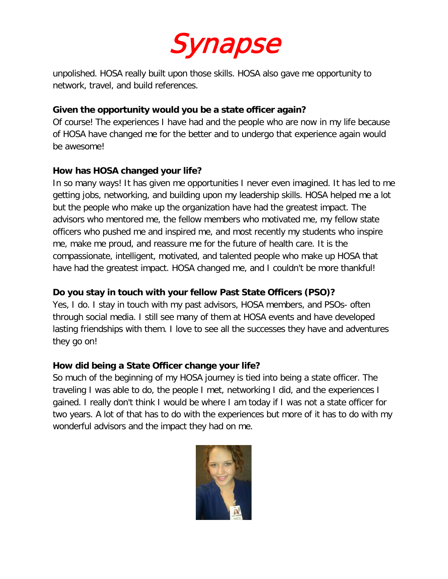

unpolished. HOSA really built upon those skills. HOSA also gave me opportunity to network, travel, and build references.

### **Given the opportunity would you be a state officer again?**

Of course! The experiences I have had and the people who are now in my life because of HOSA have changed me for the better and to undergo that experience again would be awesome!

### **How has HOSA changed your life?**

In so many ways! It has given me opportunities I never even imagined. It has led to me getting jobs, networking, and building upon my leadership skills. HOSA helped me a lot but the people who make up the organization have had the greatest impact. The advisors who mentored me, the fellow members who motivated me, my fellow state officers who pushed me and inspired me, and most recently my students who inspire me, make me proud, and reassure me for the future of health care. It is the compassionate, intelligent, motivated, and talented people who make up HOSA that have had the greatest impact. HOSA changed me, and I couldn't be more thankful!

### **Do you stay in touch with your fellow Past State Officers (PSO)?**

Yes, I do. I stay in touch with my past advisors, HOSA members, and PSOs- often through social media. I still see many of them at HOSA events and have developed lasting friendships with them. I love to see all the successes they have and adventures they go on!

### **How did being a State Officer change your life?**

So much of the beginning of my HOSA journey is tied into being a state officer. The traveling I was able to do, the people I met, networking I did, and the experiences I gained. I really don't think I would be where I am today if I was not a state officer for two years. A lot of that has to do with the experiences but more of it has to do with my wonderful advisors and the impact they had on me.

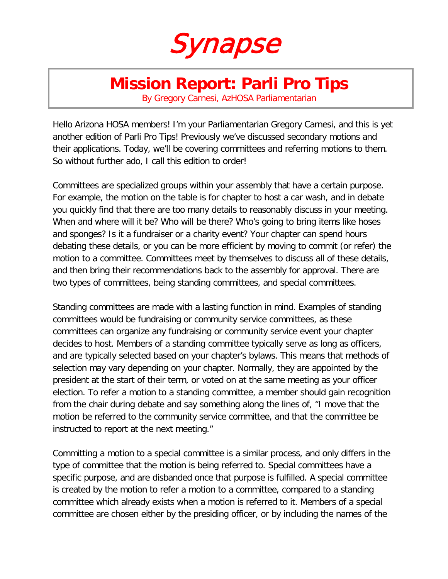

### **Mission Report: Parli Pro Tips**

By Gregory Carnesi, AzHOSA Parliamentarian

Hello Arizona HOSA members! I'm your Parliamentarian Gregory Carnesi, and this is yet another edition of Parli Pro Tips! Previously we've discussed secondary motions and their applications. Today, we'll be covering committees and referring motions to them. So without further ado, I call this edition to order!

Committees are specialized groups within your assembly that have a certain purpose. For example, the motion on the table is for chapter to host a car wash, and in debate you quickly find that there are too many details to reasonably discuss in your meeting. When and where will it be? Who will be there? Who's going to bring items like hoses and sponges? Is it a fundraiser or a charity event? Your chapter can spend hours debating these details, or you can be more efficient by moving to commit (or refer) the motion to a committee. Committees meet by themselves to discuss all of these details, and then bring their recommendations back to the assembly for approval. There are two types of committees, being standing committees, and special committees.

Standing committees are made with a lasting function in mind. Examples of standing committees would be fundraising or community service committees, as these committees can organize any fundraising or community service event your chapter decides to host. Members of a standing committee typically serve as long as officers, and are typically selected based on your chapter's bylaws. This means that methods of selection may vary depending on your chapter. Normally, they are appointed by the president at the start of their term, or voted on at the same meeting as your officer election. To refer a motion to a standing committee, a member should gain recognition from the chair during debate and say something along the lines of, "I move that the motion be referred to the community service committee, and that the committee be instructed to report at the next meeting."

Committing a motion to a special committee is a similar process, and only differs in the type of committee that the motion is being referred to. Special committees have a specific purpose, and are disbanded once that purpose is fulfilled. A special committee is created by the motion to refer a motion to a committee, compared to a standing committee which already exists when a motion is referred to it. Members of a special committee are chosen either by the presiding officer, or by including the names of the